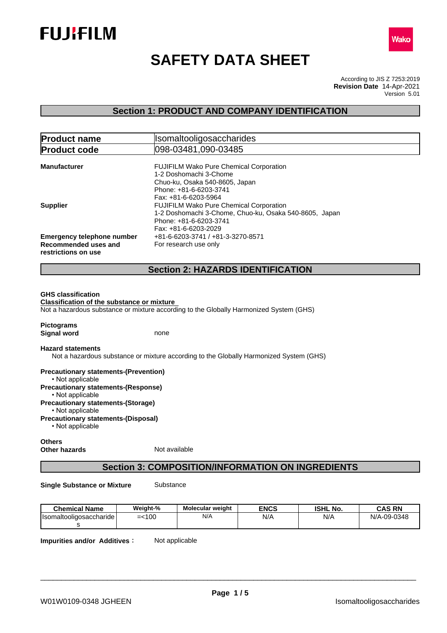



# **SAFETY DATA SHEET**

According to JIS Z 7253:2019 Version 5.01 **Revision Date** 14-Apr-2021

## **Section 1: PRODUCT AND COMPANY IDENTIFICATION**

| Isomaltooligosaccharides<br><b>Product name</b> |                                                                                        |  |  |
|-------------------------------------------------|----------------------------------------------------------------------------------------|--|--|
| <b>Product code</b>                             | l098-03481.090-03485                                                                   |  |  |
|                                                 |                                                                                        |  |  |
| Manufacturer                                    | <b>FUJIFILM Wako Pure Chemical Corporation</b>                                         |  |  |
|                                                 | 1-2 Doshomachi 3-Chome                                                                 |  |  |
|                                                 | Chuo-ku, Osaka 540-8605, Japan                                                         |  |  |
|                                                 | Phone: +81-6-6203-3741                                                                 |  |  |
|                                                 | Fax: +81-6-6203-5964                                                                   |  |  |
| Supplier                                        | <b>FUJIFILM Wako Pure Chemical Corporation</b>                                         |  |  |
|                                                 | 1-2 Doshomachi 3-Chome, Chuo-ku, Osaka 540-8605, Japan                                 |  |  |
|                                                 | Phone: +81-6-6203-3741                                                                 |  |  |
|                                                 | Fax: +81-6-6203-2029                                                                   |  |  |
| <b>Emergency telephone number</b>               | +81-6-6203-3741 / +81-3-3270-8571                                                      |  |  |
| Recommended uses and                            | For research use only                                                                  |  |  |
| restrictions on use                             |                                                                                        |  |  |
|                                                 | <b>Section 2: HAZARDS IDENTIFICATION</b>                                               |  |  |
|                                                 |                                                                                        |  |  |
| <b>GHS classification</b>                       |                                                                                        |  |  |
| Classification of the substance or mixture      |                                                                                        |  |  |
|                                                 | Not a hazardous substance or mixture according to the Globally Harmonized System (GHS) |  |  |
|                                                 |                                                                                        |  |  |

**Pictograms Signal word** none

#### **Hazard statements**

Not a hazardous substance or mixture according to the Globally Harmonized System (GHS)

**Precautionary statements-(Prevention)** • Not applicable **Precautionary statements-(Response)** • Not applicable **Precautionary statements-(Storage)** • Not applicable **Precautionary statements-(Disposal)**  $\cdot$  Not applicable

#### **Others Other hazards** Not available

## **Section 3: COMPOSITION/INFORMATION ON INGREDIENTS**

**Single Substance or Mixture** Substance

| <b>Chemical Name</b>      | Weight-%  | <b>Molecular weight</b> | <b>ENCS</b> | <b>ISHL No.</b> | <b>CAS RN</b> |
|---------------------------|-----------|-------------------------|-------------|-----------------|---------------|
| Hsomaltooligosaccharide l | $= < 100$ | N/A                     | N/A         | N/A             | N/A-09-0348   |
|                           |           |                         |             |                 |               |

**Impurities and/or Additives:** Not applicable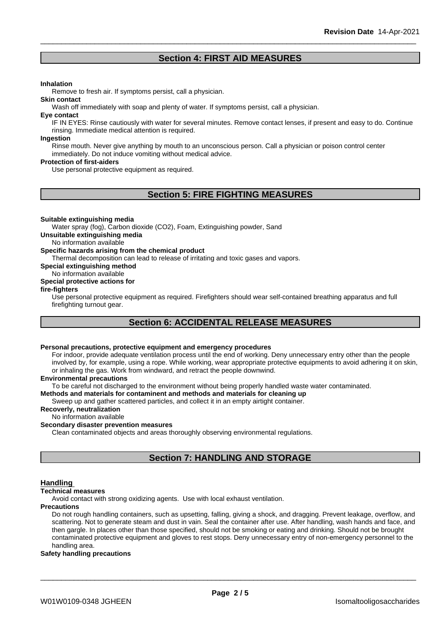## **Section 4: FIRST AID MEASURES**

#### **Inhalation**

Remove to fresh air. If symptoms persist, call a physician.

Wash off immediately with soap and plenty of water. If symptoms persist, call a physician.

#### **Eye contact**

**Skin contact**

IF IN EYES: Rinse cautiously with water for several minutes. Remove contact lenses, if present and easy to do. Continue rinsing. Immediate medical attention is required.

#### **Ingestion**

Rinse mouth. Never give anything by mouth to an unconscious person. Call a physician or poison control center immediately. Do not induce vomiting without medical advice.

#### **Protection of first-aiders**

Use personal protective equipment as required.

## **Section 5: FIRE FIGHTING MEASURES**

#### **Suitable extinguishing media**

Water spray (fog), Carbon dioxide (CO2), Foam, Extinguishing powder, Sand

**Unsuitable extinguishing media**

No information available

#### **Specific hazards arising from the chemical product**

Thermal decomposition can lead to release of irritating and toxic gases and vapors.

**Special extinguishing method**

#### No information available

### **Special protective actions for**

### **fire-fighters**

Use personal protective equipment as required.Firefighters should wear self-contained breathing apparatus and full firefighting turnout gear.

## **Section 6: ACCIDENTAL RELEASE MEASURES**

#### **Personal precautions, protective equipment and emergency procedures**

For indoor, provide adequate ventilation process until the end of working. Deny unnecessary entry other than the people involved by, for example, using a rope. While working, wear appropriate protective equipments to avoid adhering it on skin, or inhaling the gas. Work from windward, and retract the people downwind.

#### **Environmental precautions**

To be careful not discharged to the environment without being properly handled waste water contaminated.

#### **Methods and materials for contaminent and methods and materials for cleaning up**

Sweep up and gather scattered particles, and collect it in an empty airtight container.

### **Recoverly, neutralization**

#### No information available

#### **Secondary disaster prevention measures**

Clean contaminated objects and areas thoroughly observing environmental regulations.

## **Section 7: HANDLING AND STORAGE**

#### **Handling**

#### **Technical measures**

Avoid contact with strong oxidizing agents. Use with local exhaust ventilation.

#### **Precautions**

Do not rough handling containers, such as upsetting, falling, giving a shock, and dragging. Prevent leakage, overflow, and scattering. Not to generate steam and dust in vain. Seal the container after use. After handling, wash hands and face, and then gargle. In places other than those specified, should not be smoking or eating and drinking. Should not be brought contaminated protective equipment and gloves to rest stops. Deny unnecessary entry of non-emergency personnel to the handling area.

#### **Safety handling precautions**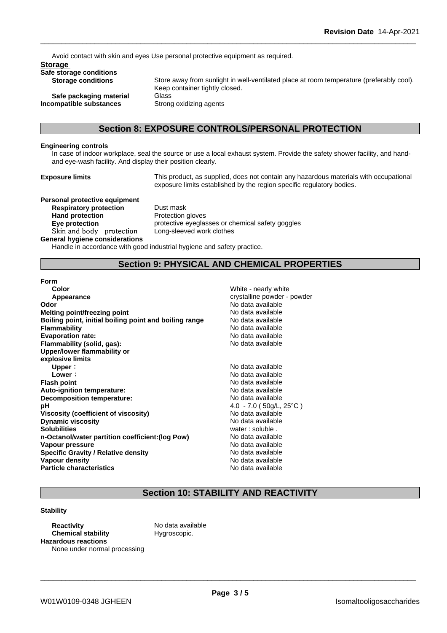Avoid contact with skin and eyes Use personal protective equipment as required.

#### **Storage**

**Safe storage conditions**

**Safe packaging material** Glass **Incompatible substances** Strong oxidizing agents

Store away from sunlight in well-ventilated place at room temperature (preferably cool). Keep container tightly closed.

## **Section 8: EXPOSURE CONTROLS/PERSONAL PROTECTION**

#### **Engineering controls**

In case of indoor workplace, seal the source or use a local exhaust system. Provide the safety shower facility, and handand eye-wash facility. And display their position clearly.

**Exposure limits** This product, as supplied, does not contain any hazardous materials with occupational exposure limits established by the region specific regulatory bodies.

**Personal protective equipment Respiratory protection** Dust mask<br> **Hand protection** Protection **Skinandbody protection** Long-sleeved work clothes

**Protection gloves Eye protection protective eyeglasses or chemical safety goggles** 

#### **General hygiene considerations**

Handle in accordance with good industrial hygiene and safety practice.

## **Section 9: PHYSICAL AND CHEMICAL PROPERTIES**

#### **Form**

| Color                                                  | White - nearly white           |
|--------------------------------------------------------|--------------------------------|
| Appearance                                             | crystalline powder - powder    |
| Odor                                                   | No data available              |
| <b>Melting point/freezing point</b>                    | No data available              |
| Boiling point, initial boiling point and boiling range | No data available              |
| <b>Flammability</b>                                    | No data available              |
| <b>Evaporation rate:</b>                               | No data available              |
| Flammability (solid, gas):                             | No data available              |
| Upper/lower flammability or                            |                                |
| explosive limits                                       |                                |
| Upper:                                                 | No data available              |
| Lower:                                                 | No data available              |
| <b>Flash point</b>                                     | No data available              |
| Auto-ignition temperature:                             | No data available              |
| Decomposition temperature:                             | No data available              |
| рH                                                     | 4.0 - 7.0 ( $50q/L$ , $25°C$ ) |
| Viscosity (coefficient of viscosity)                   | No data available              |
| <b>Dynamic viscosity</b>                               | No data available              |
| <b>Solubilities</b>                                    | water: soluble.                |
| n-Octanol/water partition coefficient: (log Pow)       | No data available              |
| Vapour pressure                                        | No data available              |
| <b>Specific Gravity / Relative density</b>             | No data available              |
| Vapour density                                         | No data available              |
| <b>Particle characteristics</b>                        | No data available              |
|                                                        |                                |

\_\_\_\_\_\_\_\_\_\_\_\_\_\_\_\_\_\_\_\_\_\_\_\_\_\_\_\_\_\_\_\_\_\_\_\_\_\_\_\_\_\_\_\_\_\_\_\_\_\_\_\_\_\_\_\_\_\_\_\_\_\_\_\_\_\_\_\_\_\_\_\_\_\_\_\_\_\_\_\_\_\_\_\_\_\_\_\_\_\_

## **Section 10: STABILITY AND REACTIVITY**

#### **Stability**

**Reactivity** No data available **Chemical stability** Hygroscopic. **Hazardous reactions** None under normal processing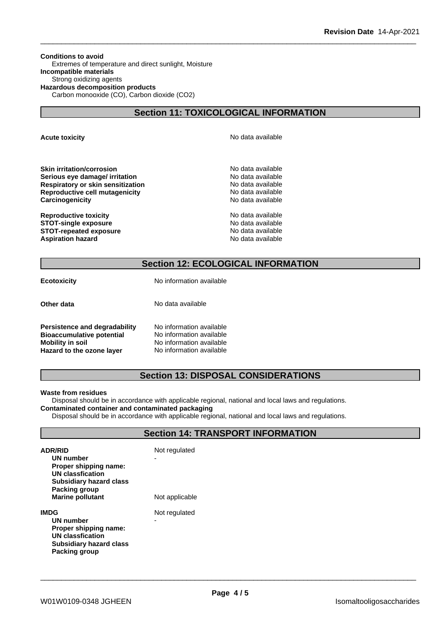**Conditions to avoid** Extremes of temperature and direct sunlight, Moisture **Incompatible materials** Strong oxidizing agents **Hazardous decomposition products** Carbon monooxide (CO), Carbon dioxide (CO2)

## **Section 11: TOXICOLOGICAL INFORMATION**

**Acute toxicity Acute toxicity Acute has a structure in the structure of**  $\mathbb{R}^n$  **No data available** 

**Skin irritation/corrosion** No data available **Serious eye damage/ irritation**<br> **Respiratory or skin sensitization**<br> **Respiratory or skin sensitization Respiratory or skin sensitization Reproductive cell mutagenicity** No data available **Carcinogenicity Carcinogenicity Carcinogenicity** 

**Reproductive toxicity No data available** No data available **STOT-single exposure**  $\qquad \qquad \qquad$  No data available **STOT-repeated exposure** No data available **Aspiration hazard No data available No data available No data available** 

## **Section 12: ECOLOGICAL INFORMATION**

**Ecotoxicity** No information available

**Other data** No data available

**Persistence and degradability** No information available **Bioaccumulative potential** No information available<br>**Mobility in soil** No information available No information available<br>No information available **Hazard** to the ozone layer

## **Section 13: DISPOSAL CONSIDERATIONS**

#### **Waste from residues**

Disposal should be in accordance with applicable regional, national and local laws and regulations. **Contaminated container and contaminated packaging**

Disposal should be in accordance with applicable regional, national and local laws and regulations.

## **Section 14: TRANSPORT INFORMATION**

| <b>ADR/RID</b><br>UN number<br>Proper shipping name:<br><b>UN classfication</b><br>Subsidiary hazard class<br>Packing group<br><b>Marine pollutant</b> | Not regulated<br>Not applicable |
|--------------------------------------------------------------------------------------------------------------------------------------------------------|---------------------------------|
| IMDG<br>UN number<br>Proper shipping name:<br>UN classfication<br>Subsidiary hazard class<br>Packing group                                             | Not regulated<br>-              |